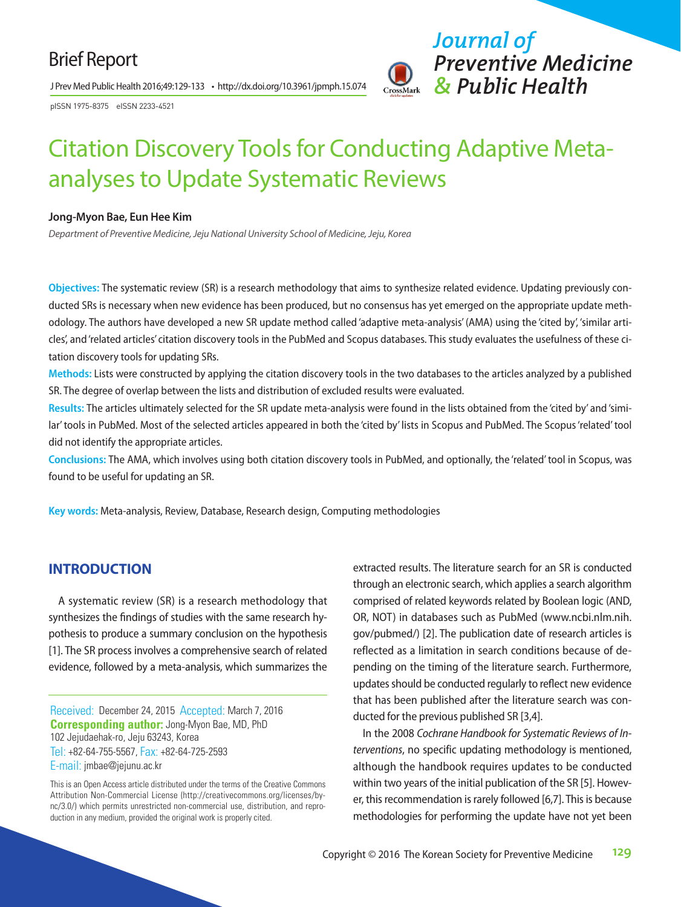## Brief Report

J Prev Med Public Health 2016;49:129-133 • http://dx.doi.org/10.3961/jpmph.15.074

pISSN 1975-8375 eISSN 2233-4521



# Citation Discovery Tools for Conducting Adaptive Metaanalyses to Update Systematic Reviews

#### **Jong-Myon Bae, Eun Hee Kim**

*Department of Preventive Medicine, Jeju National University School of Medicine, Jeju, Korea*

**Objectives:** The systematic review (SR) is a research methodology that aims to synthesize related evidence. Updating previously conducted SRs is necessary when new evidence has been produced, but no consensus has yet emerged on the appropriate update methodology. The authors have developed a new SR update method called 'adaptive meta-analysis' (AMA) using the 'cited by', 'similar articles', and 'related articles' citation discovery tools in the PubMed and Scopus databases. This study evaluates the usefulness of these citation discovery tools for updating SRs.

**Methods:** Lists were constructed by applying the citation discovery tools in the two databases to the articles analyzed by a published SR. The degree of overlap between the lists and distribution of excluded results were evaluated.

**Results:** The articles ultimately selected for the SR update meta-analysis were found in the lists obtained from the 'cited by' and 'similar' tools in PubMed. Most of the selected articles appeared in both the 'cited by' lists in Scopus and PubMed. The Scopus 'related' tool did not identify the appropriate articles.

**Conclusions:** The AMA, which involves using both citation discovery tools in PubMed, and optionally, the 'related' tool in Scopus, was found to be useful for updating an SR.

**Key words:** Meta-analysis, Review, Database, Research design, Computing methodologies

## **INTRODUCTION**

A systematic review (SR) is a research methodology that synthesizes the findings of studies with the same research hypothesis to produce a summary conclusion on the hypothesis [1]. The SR process involves a comprehensive search of related evidence, followed by a meta-analysis, which summarizes the

Received: December 24, 2015 Accepted: March 7, 2016 **Corresponding author:** Jong-Myon Bae, MD, PhD 102 Jejudaehak-ro, Jeju 63243, Korea Tel: +82-64-755-5567, Fax: +82-64-725-2593 E-mail: jmbae@jejunu.ac.kr

This is an Open Access article distributed under the terms of the Creative Commons Attribution Non-Commercial License (http://creativecommons.org/licenses/bync/3.0/) which permits unrestricted non-commercial use, distribution, and reproduction in any medium, provided the original work is properly cited.

extracted results. The literature search for an SR is conducted through an electronic search, which applies a search algorithm comprised of related keywords related by Boolean logic (AND, OR, NOT) in databases such as PubMed (www.ncbi.nlm.nih. gov/pubmed/) [2]. The publication date of research articles is reflected as a limitation in search conditions because of depending on the timing of the literature search. Furthermore, updates should be conducted regularly to reflect new evidence that has been published after the literature search was conducted for the previous published SR [3,4].

In the 2008 *Cochrane Handbook for Systematic Reviews of Interventions*, no specific updating methodology is mentioned, although the handbook requires updates to be conducted within two years of the initial publication of the SR [5]. However, this recommendation is rarely followed [6,7]. This is because methodologies for performing the update have not yet been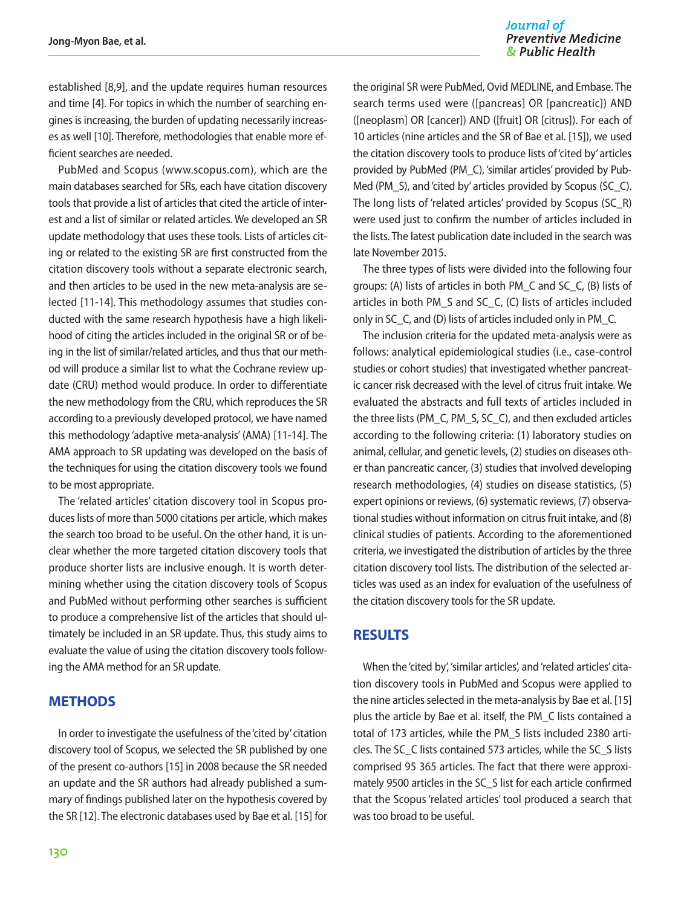#### Journal of **Preventive Medicine** & Public Health

established [8,9], and the update requires human resources and time [4]. For topics in which the number of searching engines is increasing, the burden of updating necessarily increases as well [10]. Therefore, methodologies that enable more efficient searches are needed.

PubMed and Scopus (www.scopus.com), which are the main databases searched for SRs, each have citation discovery tools that provide a list of articles that cited the article of interest and a list of similar or related articles. We developed an SR update methodology that uses these tools. Lists of articles citing or related to the existing SR are first constructed from the citation discovery tools without a separate electronic search, and then articles to be used in the new meta-analysis are selected [11-14]. This methodology assumes that studies conducted with the same research hypothesis have a high likelihood of citing the articles included in the original SR or of being in the list of similar/related articles, and thus that our method will produce a similar list to what the Cochrane review update (CRU) method would produce. In order to differentiate the new methodology from the CRU, which reproduces the SR according to a previously developed protocol, we have named this methodology 'adaptive meta-analysis' (AMA) [11-14]. The AMA approach to SR updating was developed on the basis of the techniques for using the citation discovery tools we found to be most appropriate.

The 'related articles' citation discovery tool in Scopus produces lists of more than 5000 citations per article, which makes the search too broad to be useful. On the other hand, it is unclear whether the more targeted citation discovery tools that produce shorter lists are inclusive enough. It is worth determining whether using the citation discovery tools of Scopus and PubMed without performing other searches is sufficient to produce a comprehensive list of the articles that should ultimately be included in an SR update. Thus, this study aims to evaluate the value of using the citation discovery tools following the AMA method for an SR update.

## **METHODS**

In order to investigate the usefulness of the 'cited by' citation discovery tool of Scopus, we selected the SR published by one of the present co-authors [15] in 2008 because the SR needed an update and the SR authors had already published a summary of findings published later on the hypothesis covered by the SR [12]. The electronic databases used by Bae et al. [15] for

the original SR were PubMed, Ovid MEDLINE, and Embase. The search terms used were ([pancreas] OR [pancreatic]) AND ([neoplasm] OR [cancer]) AND ([fruit] OR [citrus]). For each of 10 articles (nine articles and the SR of Bae et al. [15]), we used the citation discovery tools to produce lists of 'cited by' articles provided by PubMed (PM\_C), 'similar articles' provided by Pub-Med (PM S), and 'cited by' articles provided by Scopus (SC C). The long lists of 'related articles' provided by Scopus (SC\_R) were used just to confirm the number of articles included in the lists. The latest publication date included in the search was late November 2015.

The three types of lists were divided into the following four groups: (A) lists of articles in both PM\_C and SC\_C, (B) lists of articles in both PM\_S and SC\_C, (C) lists of articles included only in SC\_C, and (D) lists of articles included only in PM\_C.

The inclusion criteria for the updated meta-analysis were as follows: analytical epidemiological studies (i.e., case-control studies or cohort studies) that investigated whether pancreatic cancer risk decreased with the level of citrus fruit intake. We evaluated the abstracts and full texts of articles included in the three lists (PM\_C, PM\_S, SC\_C), and then excluded articles according to the following criteria: (1) laboratory studies on animal, cellular, and genetic levels, (2) studies on diseases other than pancreatic cancer, (3) studies that involved developing research methodologies, (4) studies on disease statistics, (5) expert opinions or reviews, (6) systematic reviews, (7) observational studies without information on citrus fruit intake, and (8) clinical studies of patients. According to the aforementioned criteria, we investigated the distribution of articles by the three citation discovery tool lists. The distribution of the selected articles was used as an index for evaluation of the usefulness of the citation discovery tools for the SR update.

## **RESULTS**

When the 'cited by', 'similar articles', and 'related articles' citation discovery tools in PubMed and Scopus were applied to the nine articles selected in the meta-analysis by Bae et al. [15] plus the article by Bae et al. itself, the PM\_C lists contained a total of 173 articles, while the PM\_S lists included 2380 articles. The SC\_C lists contained 573 articles, while the SC\_S lists comprised 95 365 articles. The fact that there were approximately 9500 articles in the SC\_S list for each article confirmed that the Scopus 'related articles' tool produced a search that was too broad to be useful.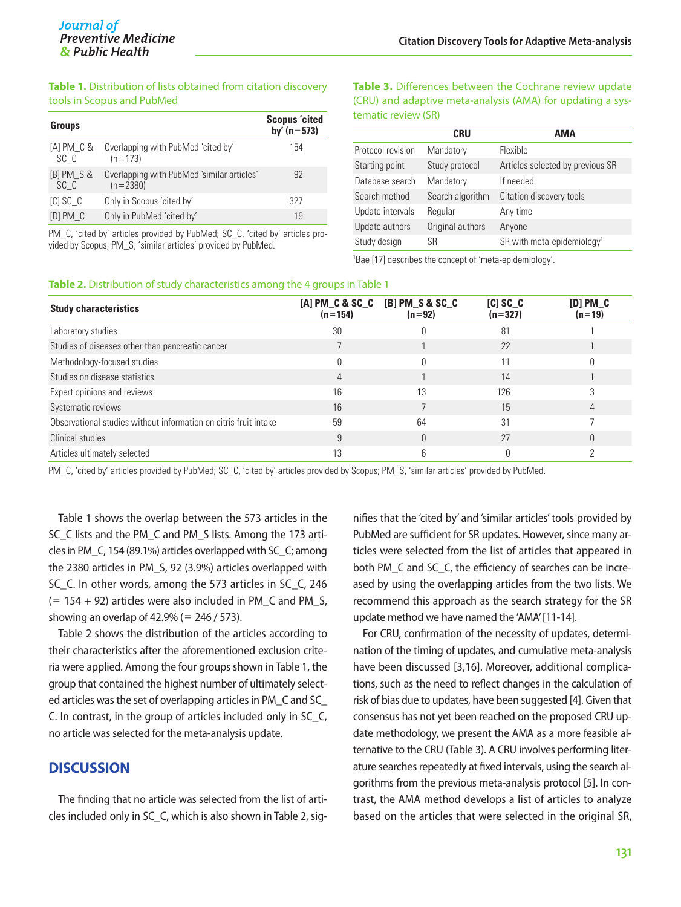#### **Table 1.** Distribution of lists obtained from citation discovery tools in Scopus and PubMed

| <b>Groups</b>      |                                                          | <b>Scopus</b> 'cited<br>by' $(n = 573)$ |
|--------------------|----------------------------------------------------------|-----------------------------------------|
| [A] PM_C &<br>SC C | Overlapping with PubMed 'cited by'<br>$(n=173)$          | 154                                     |
| [B] PM S &<br>SC C | Overlapping with PubMed 'similar articles'<br>$(n=2380)$ | 92                                      |
| <b>ICISC C</b>     | Only in Scopus 'cited by'                                | 327                                     |
| <b>IDIPM C</b>     | Only in PubMed 'cited by'                                | 19                                      |

PM\_C, 'cited by' articles provided by PubMed; SC\_C, 'cited by' articles provided by Scopus; PM\_S, 'similar articles' provided by PubMed.

**Table 3.** Differences between the Cochrane review update (CRU) and adaptive meta-analysis (AMA) for updating a systematic review (SR)

|                   | CRU              | AMA                                      |
|-------------------|------------------|------------------------------------------|
| Protocol revision | Mandatory        | Flexible                                 |
| Starting point    | Study protocol   | Articles selected by previous SR         |
| Database search   | Mandatory        | If needed                                |
| Search method     | Search algorithm | Citation discovery tools                 |
| Update intervals  | Regular          | Any time                                 |
| Update authors    | Original authors | Anyone                                   |
| Study design      | SR               | $SR$ with meta-epidemiology <sup>1</sup> |
|                   |                  |                                          |

1 Bae [17] describes the concept of 'meta-epidemiology'.

#### **Table 2.** Distribution of study characteristics among the 4 groups in Table 1

| <b>Study characteristics</b>                                     | $(n=154)$ | $[A]$ PM $C$ & SC $C$ $[B]$ PM $S$ & SC $C$<br>$(n=92)$ | $[C]$ SC $_C$<br>$(n=327)$ | $[D]$ PM $C$<br>$(n=19)$ |  |  |  |
|------------------------------------------------------------------|-----------|---------------------------------------------------------|----------------------------|--------------------------|--|--|--|
| Laboratory studies                                               | 30        |                                                         | 81                         |                          |  |  |  |
| Studies of diseases other than pancreatic cancer                 |           |                                                         | 22                         |                          |  |  |  |
| Methodology-focused studies                                      |           |                                                         |                            |                          |  |  |  |
| Studies on disease statistics                                    |           |                                                         | 14                         |                          |  |  |  |
| Expert opinions and reviews                                      | 16        | 13                                                      | 126                        |                          |  |  |  |
| Systematic reviews                                               | 16        |                                                         | 15                         |                          |  |  |  |
| Observational studies without information on citris fruit intake | 59        | 64                                                      | 31                         |                          |  |  |  |
| Clinical studies                                                 |           |                                                         | 27                         |                          |  |  |  |
| Articles ultimately selected                                     |           |                                                         |                            |                          |  |  |  |

PM\_C, 'cited by' articles provided by PubMed; SC\_C, 'cited by' articles provided by Scopus; PM\_S, 'similar articles' provided by PubMed.

Table 1 shows the overlap between the 573 articles in the SC\_C lists and the PM\_C and PM\_S lists. Among the 173 articles in PM\_C, 154 (89.1%) articles overlapped with SC\_C; among the 2380 articles in PM\_S, 92 (3.9%) articles overlapped with SC C. In other words, among the 573 articles in SC C, 246  $(= 154 + 92)$  articles were also included in PM C and PM S, showing an overlap of  $42.9\%$  (= 246 / 573).

Table 2 shows the distribution of the articles according to their characteristics after the aforementioned exclusion criteria were applied. Among the four groups shown in Table 1, the group that contained the highest number of ultimately selected articles was the set of overlapping articles in PM\_C and SC\_ C. In contrast, in the group of articles included only in SC\_C, no article was selected for the meta-analysis update.

## **DISCUSSION**

The finding that no article was selected from the list of articles included only in SC\_C, which is also shown in Table 2, sig-

nifies that the 'cited by' and 'similar articles' tools provided by PubMed are sufficient for SR updates. However, since many articles were selected from the list of articles that appeared in both PM\_C and SC\_C, the efficiency of searches can be increased by using the overlapping articles from the two lists. We recommend this approach as the search strategy for the SR update method we have named the 'AMA' [11-14].

For CRU, confirmation of the necessity of updates, determination of the timing of updates, and cumulative meta-analysis have been discussed [3,16]. Moreover, additional complications, such as the need to reflect changes in the calculation of risk of bias due to updates, have been suggested [4]. Given that consensus has not yet been reached on the proposed CRU update methodology, we present the AMA as a more feasible alternative to the CRU (Table 3). A CRU involves performing literature searches repeatedly at fixed intervals, using the search algorithms from the previous meta-analysis protocol [5]. In contrast, the AMA method develops a list of articles to analyze based on the articles that were selected in the original SR,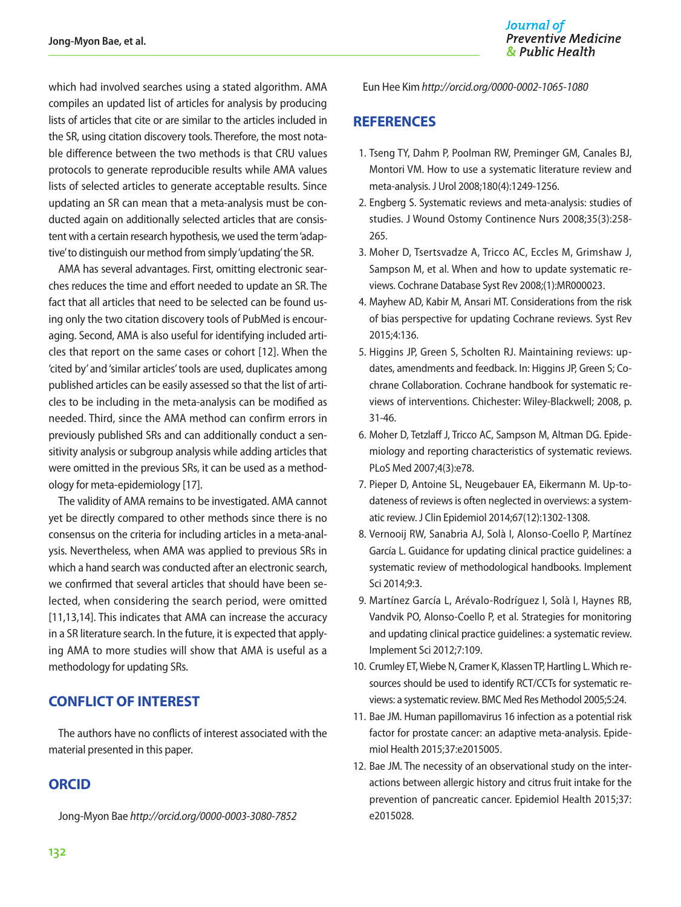which had involved searches using a stated algorithm. AMA compiles an updated list of articles for analysis by producing lists of articles that cite or are similar to the articles included in the SR, using citation discovery tools. Therefore, the most notable difference between the two methods is that CRU values protocols to generate reproducible results while AMA values lists of selected articles to generate acceptable results. Since updating an SR can mean that a meta-analysis must be conducted again on additionally selected articles that are consistent with a certain research hypothesis, we used the term 'adaptive' to distinguish our method from simply 'updating' the SR.

AMA has several advantages. First, omitting electronic searches reduces the time and effort needed to update an SR. The fact that all articles that need to be selected can be found using only the two citation discovery tools of PubMed is encouraging. Second, AMA is also useful for identifying included articles that report on the same cases or cohort [12]. When the 'cited by' and 'similar articles' tools are used, duplicates among published articles can be easily assessed so that the list of articles to be including in the meta-analysis can be modified as needed. Third, since the AMA method can confirm errors in previously published SRs and can additionally conduct a sensitivity analysis or subgroup analysis while adding articles that were omitted in the previous SRs, it can be used as a methodology for meta-epidemiology [17].

The validity of AMA remains to be investigated. AMA cannot yet be directly compared to other methods since there is no consensus on the criteria for including articles in a meta-analysis. Nevertheless, when AMA was applied to previous SRs in which a hand search was conducted after an electronic search, we confirmed that several articles that should have been selected, when considering the search period, were omitted [11,13,14]. This indicates that AMA can increase the accuracy in a SR literature search. In the future, it is expected that applying AMA to more studies will show that AMA is useful as a methodology for updating SRs.

## **CONFLICT OF INTEREST**

The authors have no conflicts of interest associated with the material presented in this paper.

## **ORCID**

Jong-Myon Bae *http://orcid.org/0000-0003-3080-7852*

Eun Hee Kim *http://orcid.org/0000-0002-1065-1080*

### **REFERENCES**

- 1. Tseng TY, Dahm P, Poolman RW, Preminger GM, Canales BJ, Montori VM. How to use a systematic literature review and meta-analysis. J Urol 2008;180(4):1249-1256.
- 2. Engberg S. Systematic reviews and meta-analysis: studies of studies. J Wound Ostomy Continence Nurs 2008;35(3):258- 265.
- 3. Moher D, Tsertsvadze A, Tricco AC, Eccles M, Grimshaw J, Sampson M, et al. When and how to update systematic reviews. Cochrane Database Syst Rev 2008;(1):MR000023.
- 4. Mayhew AD, Kabir M, Ansari MT. Considerations from the risk of bias perspective for updating Cochrane reviews. Syst Rev 2015;4:136.
- 5. Higgins JP, Green S, Scholten RJ. Maintaining reviews: updates, amendments and feedback. In: Higgins JP, Green S; Cochrane Collaboration. Cochrane handbook for systematic reviews of interventions. Chichester: Wiley-Blackwell; 2008, p. 31-46.
- 6. Moher D, Tetzlaff J, Tricco AC, Sampson M, Altman DG. Epidemiology and reporting characteristics of systematic reviews. PLoS Med 2007;4(3):e78.
- 7. Pieper D, Antoine SL, Neugebauer EA, Eikermann M. Up-todateness of reviews is often neglected in overviews: a systematic review. J Clin Epidemiol 2014;67(12):1302-1308.
- 8. Vernooij RW, Sanabria AJ, Solà I, Alonso-Coello P, Martínez García L. Guidance for updating clinical practice guidelines: a systematic review of methodological handbooks. Implement Sci 2014;9:3.
- 9. Martínez García L, Arévalo-Rodríguez I, Solà I, Haynes RB, Vandvik PO, Alonso-Coello P, et al. Strategies for monitoring and updating clinical practice guidelines: a systematic review. Implement Sci 2012;7:109.
- 10. Crumley ET, Wiebe N, Cramer K, Klassen TP, Hartling L. Which resources should be used to identify RCT/CCTs for systematic reviews: a systematic review. BMC Med Res Methodol 2005;5:24.
- 11. Bae JM. Human papillomavirus 16 infection as a potential risk factor for prostate cancer: an adaptive meta-analysis. Epidemiol Health 2015;37:e2015005.
- 12. Bae JM. The necessity of an observational study on the interactions between allergic history and citrus fruit intake for the prevention of pancreatic cancer. Epidemiol Health 2015;37: e2015028.